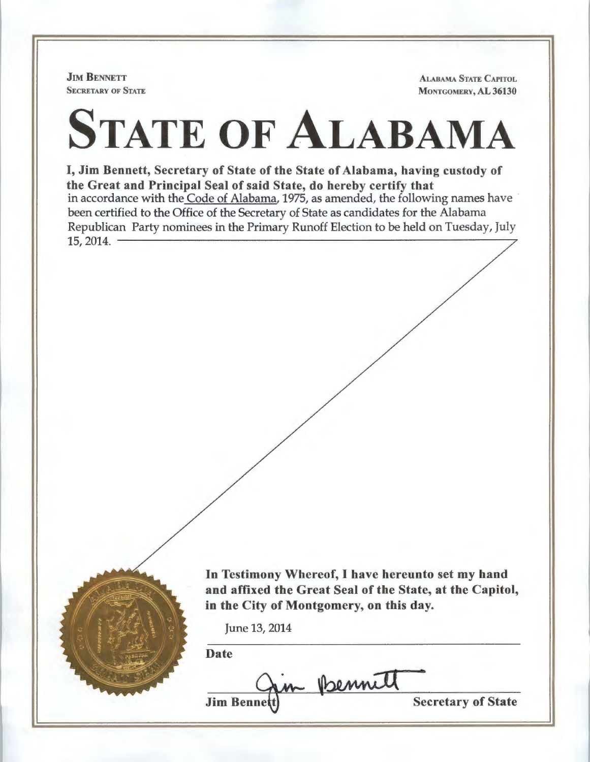**JIM BENNETT SECRETARY OF STATE** 

ALABAMA STATE CAPITOL MONTGOMERY, AL 36130

## STATE OF ALABAMA

I, Jim Bennett, Secretary of State of the State of Alabama, having custody of the Great and Principal Seal of said State, do hereby certify that in accordance with the Code of Alabama, 1975, as amended, the following names have been certified to the Office of the Secretary of State as candidates for the Alabama Republican Party nominees in the Primary Runoff Election to be held on Tuesday, July 15, 2014.



In Testimony Whereof, I have hereunto set my hand and affixed the Great Seal of the State, at the Capitol, in the City of Montgomery, on this day.

June 13, 2014

Date

• in Bennett **Jim Benne** 

Secretary of State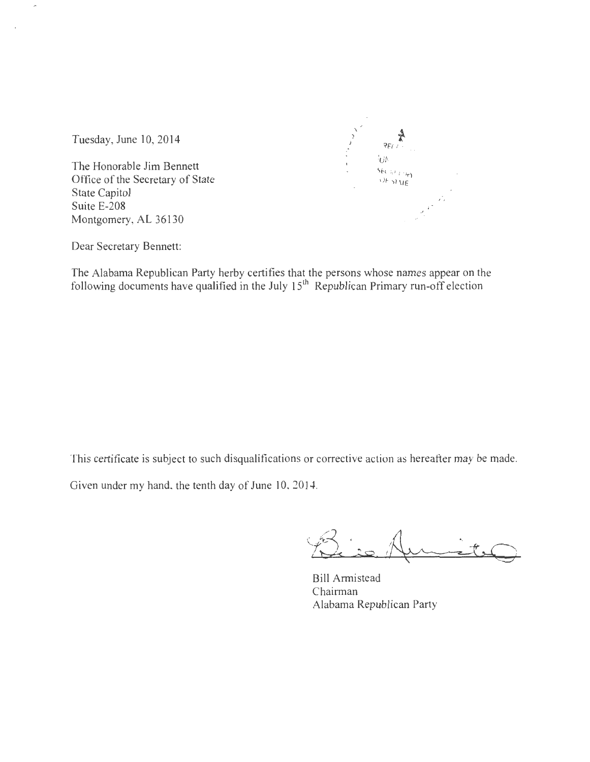$\frac{1}{2}$  $\cdot$ . )  $\mathcal{L}$ '?  $P_{E(f)}$ *JUN* <sup>I</sup>  $\frac{\text{SE}(f, t_f, t_f)}{f}$  $U_F$   $U_F$  $-1.4\%$ 

Tuesday, June 10, 2014

 $\overline{a}$ 

The Honorable Jim Bennett Office of the Secretary of State State Capitol Suite E-208 Montgomery, AL 36130

Dear Secretary Bennett:

The Alabama Republican Party herby certifies that the persons whose names appear on the following documents have qualified in the July  $15<sup>th</sup>$  Republican Primary run-off election

This certificate is subject to such disqualifications or corrective action as hereafter may be made.

Given under my hand. the tenth day of June 10, 2014.

 $-$ 

Bill Armistead Chairman Alabama Republican Party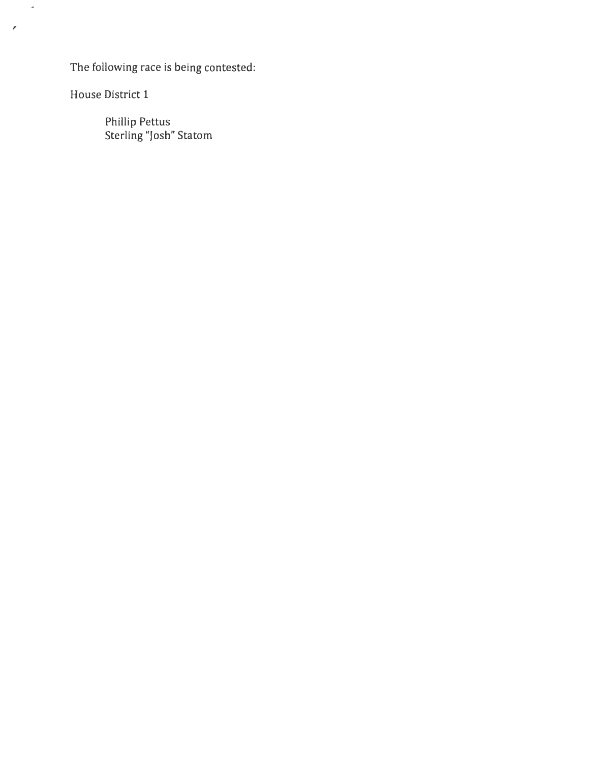The following race is being contested:

House District 1

,

 $\hat{\phantom{a}}$ 

Phillip Pettus Sterling "Josh" Statom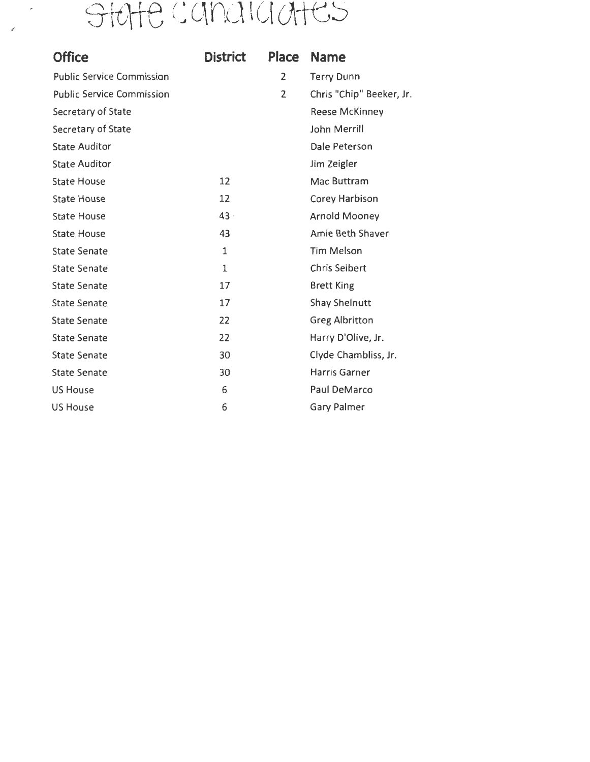## state canaladtes

| <b>Office</b>                    | <b>District</b> | Place | <b>Name</b>              |
|----------------------------------|-----------------|-------|--------------------------|
| <b>Public Service Commission</b> |                 | 2     | <b>Terry Dunn</b>        |
| <b>Public Service Commission</b> |                 | 2     | Chris "Chip" Beeker, Jr. |
| Secretary of State               |                 |       | <b>Reese McKinney</b>    |
| Secretary of State               |                 |       | <b>John Merrill</b>      |
| <b>State Auditor</b>             |                 |       | Dale Peterson            |
| <b>State Auditor</b>             |                 |       | Jim Zeigler              |
| <b>State House</b>               | 12              |       | Mac Buttram              |
| <b>State House</b>               | 12              |       | Corey Harbison           |
| <b>State House</b>               | 43              |       | <b>Arnold Mooney</b>     |
| <b>State House</b>               | 43              |       | Amie Beth Shaver         |
| <b>State Senate</b>              | $\mathbf{1}$    |       | <b>Tim Melson</b>        |
| <b>State Senate</b>              | $\mathbf{1}$    |       | <b>Chris Seibert</b>     |
| <b>State Senate</b>              | 17              |       | <b>Brett King</b>        |
| <b>State Senate</b>              | 17              |       | <b>Shay Shelnutt</b>     |
| <b>State Senate</b>              | 22              |       | <b>Greg Albritton</b>    |
| <b>State Senate</b>              | 22              |       | Harry D'Olive, Jr.       |
| <b>State Senate</b>              | 30              |       | Clyde Chambliss, Jr.     |
| <b>State Senate</b>              | 30              |       | Harris Garner            |
| <b>US House</b>                  | 6               |       | Paul DeMarco             |
| <b>US House</b>                  | 6               |       | <b>Gary Palmer</b>       |